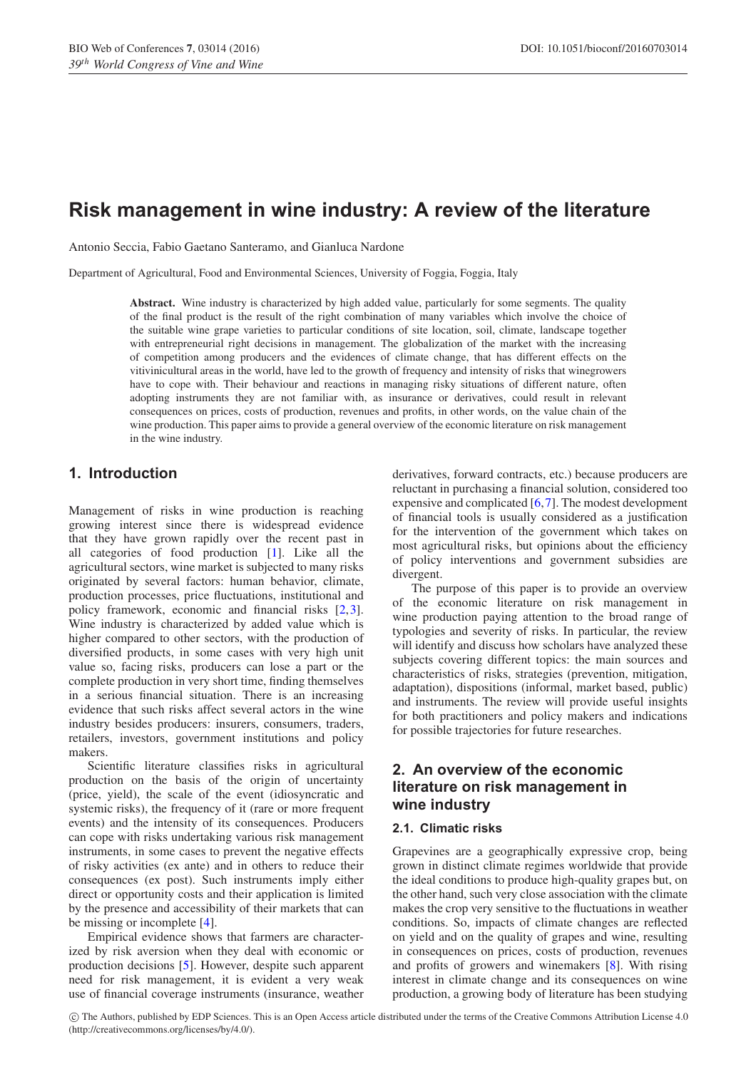# **Risk management in wine industry: A review of the literature**

Antonio Seccia, Fabio Gaetano Santeramo, and Gianluca Nardone

Department of Agricultural, Food and Environmental Sciences, University of Foggia, Foggia, Italy

**Abstract.** Wine industry is characterized by high added value, particularly for some segments. The quality of the final product is the result of the right combination of many variables which involve the choice of the suitable wine grape varieties to particular conditions of site location, soil, climate, landscape together with entrepreneurial right decisions in management. The globalization of the market with the increasing of competition among producers and the evidences of climate change, that has different effects on the vitivinicultural areas in the world, have led to the growth of frequency and intensity of risks that winegrowers have to cope with. Their behaviour and reactions in managing risky situations of different nature, often adopting instruments they are not familiar with, as insurance or derivatives, could result in relevant consequences on prices, costs of production, revenues and profits, in other words, on the value chain of the wine production. This paper aims to provide a general overview of the economic literature on risk management in the wine industry.

### **1. Introduction**

Management of risks in wine production is reaching growing interest since there is widespread evidence that they have grown rapidly over the recent past in all categories of food production [\[1](#page-3-0)]. Like all the agricultural sectors, wine market is subjected to many risks originated by several factors: human behavior, climate, production processes, price fluctuations, institutional and policy framework, economic and financial risks [\[2](#page-3-1),[3\]](#page-3-2). Wine industry is characterized by added value which is higher compared to other sectors, with the production of diversified products, in some cases with very high unit value so, facing risks, producers can lose a part or the complete production in very short time, finding themselves in a serious financial situation. There is an increasing evidence that such risks affect several actors in the wine industry besides producers: insurers, consumers, traders, retailers, investors, government institutions and policy makers.

Scientific literature classifies risks in agricultural production on the basis of the origin of uncertainty (price, yield), the scale of the event (idiosyncratic and systemic risks), the frequency of it (rare or more frequent events) and the intensity of its consequences. Producers can cope with risks undertaking various risk management instruments, in some cases to prevent the negative effects of risky activities (ex ante) and in others to reduce their consequences (ex post). Such instruments imply either direct or opportunity costs and their application is limited by the presence and accessibility of their markets that can be missing or incomplete [\[4](#page-3-3)].

Empirical evidence shows that farmers are characterized by risk aversion when they deal with economic or production decisions [\[5\]](#page-3-4). However, despite such apparent need for risk management, it is evident a very weak use of financial coverage instruments (insurance, weather derivatives, forward contracts, etc.) because producers are reluctant in purchasing a financial solution, considered too expensive and complicated [\[6,](#page-3-5)[7](#page-3-6)]. The modest development of financial tools is usually considered as a justification for the intervention of the government which takes on most agricultural risks, but opinions about the efficiency of policy interventions and government subsidies are divergent.

The purpose of this paper is to provide an overview of the economic literature on risk management in wine production paying attention to the broad range of typologies and severity of risks. In particular, the review will identify and discuss how scholars have analyzed these subjects covering different topics: the main sources and characteristics of risks, strategies (prevention, mitigation, adaptation), dispositions (informal, market based, public) and instruments. The review will provide useful insights for both practitioners and policy makers and indications for possible trajectories for future researches.

# **2. An overview of the economic literature on risk management in wine industry**

#### **2.1. Climatic risks**

Grapevines are a geographically expressive crop, being grown in distinct climate regimes worldwide that provide the ideal conditions to produce high-quality grapes but, on the other hand, such very close association with the climate makes the crop very sensitive to the fluctuations in weather conditions. So, impacts of climate changes are reflected on yield and on the quality of grapes and wine, resulting in consequences on prices, costs of production, revenues and profits of growers and winemakers [\[8\]](#page-3-7). With rising interest in climate change and its consequences on wine production, a growing body of literature has been studying

c The Authors, published by EDP Sciences. This is an Open Access article distributed under the terms of the Creative Commons Attribution License 4.0 (http://creativecommons.org/licenses/by/4.0/).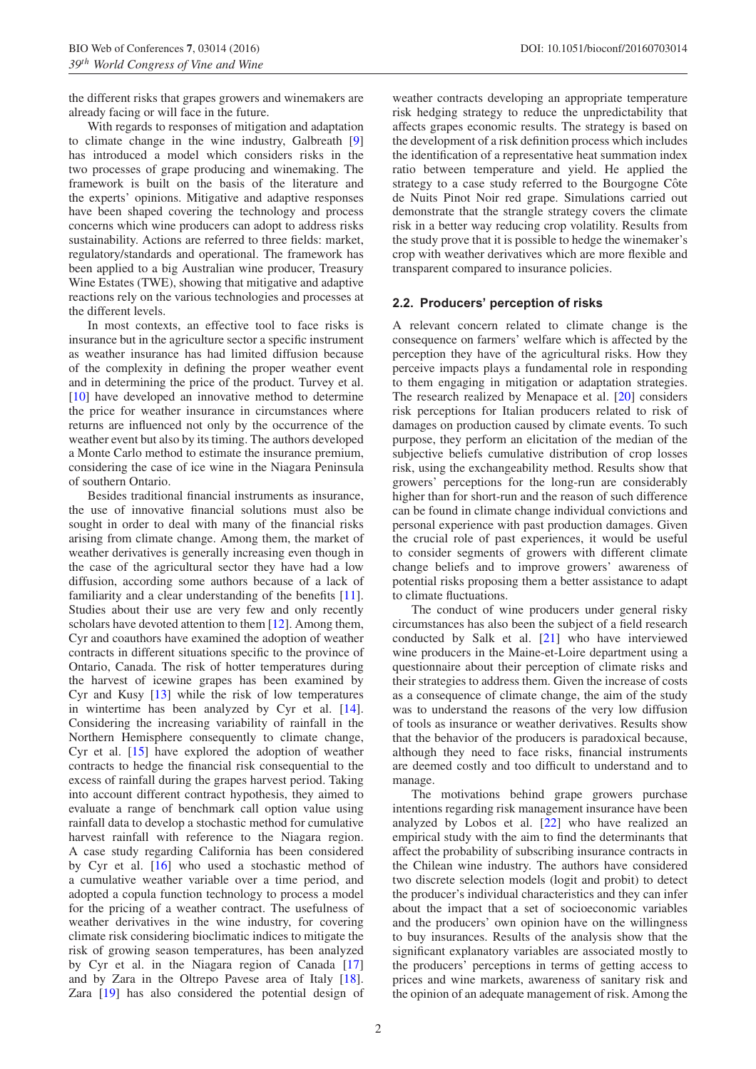the different risks that grapes growers and winemakers are already facing or will face in the future.

With regards to responses of mitigation and adaptation to climate change in the wine industry, Galbreath [\[9\]](#page-3-8) has introduced a model which considers risks in the two processes of grape producing and winemaking. The framework is built on the basis of the literature and the experts' opinions. Mitigative and adaptive responses have been shaped covering the technology and process concerns which wine producers can adopt to address risks sustainability. Actions are referred to three fields: market, regulatory/standards and operational. The framework has been applied to a big Australian wine producer, Treasury Wine Estates (TWE), showing that mitigative and adaptive reactions rely on the various technologies and processes at the different levels.

In most contexts, an effective tool to face risks is insurance but in the agriculture sector a specific instrument as weather insurance has had limited diffusion because of the complexity in defining the proper weather event and in determining the price of the product. Turvey et al. [\[10](#page-3-9)] have developed an innovative method to determine the price for weather insurance in circumstances where returns are influenced not only by the occurrence of the weather event but also by its timing. The authors developed a Monte Carlo method to estimate the insurance premium, considering the case of ice wine in the Niagara Peninsula of southern Ontario.

Besides traditional financial instruments as insurance, the use of innovative financial solutions must also be sought in order to deal with many of the financial risks arising from climate change. Among them, the market of weather derivatives is generally increasing even though in the case of the agricultural sector they have had a low diffusion, according some authors because of a lack of familiarity and a clear understanding of the benefits [\[11\]](#page-4-0). Studies about their use are very few and only recently scholars have devoted attention to them [\[12](#page-4-1)]. Among them, Cyr and coauthors have examined the adoption of weather contracts in different situations specific to the province of Ontario, Canada. The risk of hotter temperatures during the harvest of icewine grapes has been examined by Cyr and Kusy [\[13](#page-4-2)] while the risk of low temperatures in wintertime has been analyzed by Cyr et al. [\[14\]](#page-4-3). Considering the increasing variability of rainfall in the Northern Hemisphere consequently to climate change, Cyr et al. [\[15\]](#page-4-4) have explored the adoption of weather contracts to hedge the financial risk consequential to the excess of rainfall during the grapes harvest period. Taking into account different contract hypothesis, they aimed to evaluate a range of benchmark call option value using rainfall data to develop a stochastic method for cumulative harvest rainfall with reference to the Niagara region. A case study regarding California has been considered by Cyr et al. [\[16\]](#page-4-5) who used a stochastic method of a cumulative weather variable over a time period, and adopted a copula function technology to process a model for the pricing of a weather contract. The usefulness of weather derivatives in the wine industry, for covering climate risk considering bioclimatic indices to mitigate the risk of growing season temperatures, has been analyzed by Cyr et al. in the Niagara region of Canada [\[17\]](#page-4-6) and by Zara in the Oltrepo Pavese area of Italy [\[18\]](#page-4-7). Zara [\[19](#page-4-8)] has also considered the potential design of weather contracts developing an appropriate temperature risk hedging strategy to reduce the unpredictability that affects grapes economic results. The strategy is based on the development of a risk definition process which includes the identification of a representative heat summation index ratio between temperature and yield. He applied the strategy to a case study referred to the Bourgogne Côte de Nuits Pinot Noir red grape. Simulations carried out demonstrate that the strangle strategy covers the climate risk in a better way reducing crop volatility. Results from the study prove that it is possible to hedge the winemaker's crop with weather derivatives which are more flexible and transparent compared to insurance policies.

#### **2.2. Producers' perception of risks**

A relevant concern related to climate change is the consequence on farmers' welfare which is affected by the perception they have of the agricultural risks. How they perceive impacts plays a fundamental role in responding to them engaging in mitigation or adaptation strategies. The research realized by Menapace et al. [\[20\]](#page-4-9) considers risk perceptions for Italian producers related to risk of damages on production caused by climate events. To such purpose, they perform an elicitation of the median of the subjective beliefs cumulative distribution of crop losses risk, using the exchangeability method. Results show that growers' perceptions for the long-run are considerably higher than for short-run and the reason of such difference can be found in climate change individual convictions and personal experience with past production damages. Given the crucial role of past experiences, it would be useful to consider segments of growers with different climate change beliefs and to improve growers' awareness of potential risks proposing them a better assistance to adapt to climate fluctuations.

The conduct of wine producers under general risky circumstances has also been the subject of a field research conducted by Salk et al. [\[21\]](#page-4-10) who have interviewed wine producers in the Maine-et-Loire department using a questionnaire about their perception of climate risks and their strategies to address them. Given the increase of costs as a consequence of climate change, the aim of the study was to understand the reasons of the very low diffusion of tools as insurance or weather derivatives. Results show that the behavior of the producers is paradoxical because, although they need to face risks, financial instruments are deemed costly and too difficult to understand and to manage.

The motivations behind grape growers purchase intentions regarding risk management insurance have been analyzed by Lobos et al. [\[22](#page-4-11)] who have realized an empirical study with the aim to find the determinants that affect the probability of subscribing insurance contracts in the Chilean wine industry. The authors have considered two discrete selection models (logit and probit) to detect the producer's individual characteristics and they can infer about the impact that a set of socioeconomic variables and the producers' own opinion have on the willingness to buy insurances. Results of the analysis show that the significant explanatory variables are associated mostly to the producers' perceptions in terms of getting access to prices and wine markets, awareness of sanitary risk and the opinion of an adequate management of risk. Among the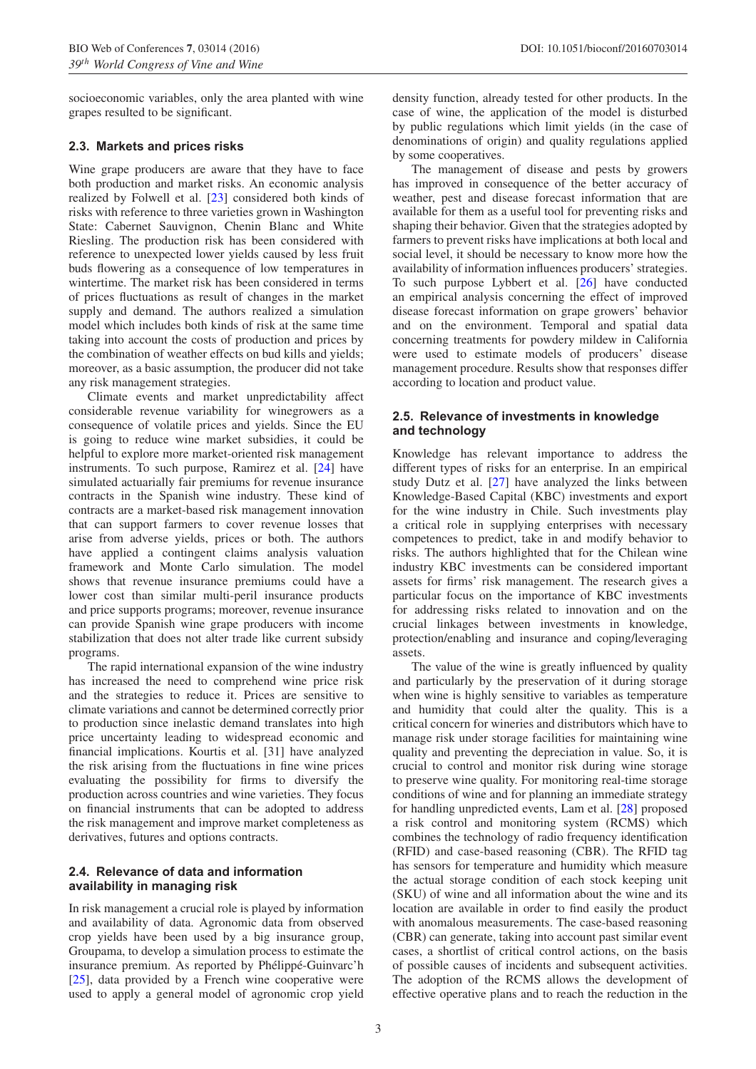socioeconomic variables, only the area planted with wine grapes resulted to be significant.

#### **2.3. Markets and prices risks**

Wine grape producers are aware that they have to face both production and market risks. An economic analysis realized by Folwell et al. [\[23](#page-4-12)] considered both kinds of risks with reference to three varieties grown in Washington State: Cabernet Sauvignon, Chenin Blanc and White Riesling. The production risk has been considered with reference to unexpected lower yields caused by less fruit buds flowering as a consequence of low temperatures in wintertime. The market risk has been considered in terms of prices fluctuations as result of changes in the market supply and demand. The authors realized a simulation model which includes both kinds of risk at the same time taking into account the costs of production and prices by the combination of weather effects on bud kills and yields; moreover, as a basic assumption, the producer did not take any risk management strategies.

Climate events and market unpredictability affect considerable revenue variability for winegrowers as a consequence of volatile prices and yields. Since the EU is going to reduce wine market subsidies, it could be helpful to explore more market-oriented risk management instruments. To such purpose, Ramirez et al. [\[24](#page-4-13)] have simulated actuarially fair premiums for revenue insurance contracts in the Spanish wine industry. These kind of contracts are a market-based risk management innovation that can support farmers to cover revenue losses that arise from adverse yields, prices or both. The authors have applied a contingent claims analysis valuation framework and Monte Carlo simulation. The model shows that revenue insurance premiums could have a lower cost than similar multi-peril insurance products and price supports programs; moreover, revenue insurance can provide Spanish wine grape producers with income stabilization that does not alter trade like current subsidy programs.

The rapid international expansion of the wine industry has increased the need to comprehend wine price risk and the strategies to reduce it. Prices are sensitive to climate variations and cannot be determined correctly prior to production since inelastic demand translates into high price uncertainty leading to widespread economic and financial implications. Kourtis et al. [31] have analyzed the risk arising from the fluctuations in fine wine prices evaluating the possibility for firms to diversify the production across countries and wine varieties. They focus on financial instruments that can be adopted to address the risk management and improve market completeness as derivatives, futures and options contracts.

#### **2.4. Relevance of data and information availability in managing risk**

In risk management a crucial role is played by information and availability of data. Agronomic data from observed crop yields have been used by a big insurance group, Groupama, to develop a simulation process to estimate the insurance premium. As reported by Phélippé-Guinvarc'h [\[25](#page-4-14)], data provided by a French wine cooperative were used to apply a general model of agronomic crop yield density function, already tested for other products. In the case of wine, the application of the model is disturbed by public regulations which limit yields (in the case of denominations of origin) and quality regulations applied by some cooperatives.

The management of disease and pests by growers has improved in consequence of the better accuracy of weather, pest and disease forecast information that are available for them as a useful tool for preventing risks and shaping their behavior. Given that the strategies adopted by farmers to prevent risks have implications at both local and social level, it should be necessary to know more how the availability of information influences producers' strategies. To such purpose Lybbert et al. [\[26](#page-4-15)] have conducted an empirical analysis concerning the effect of improved disease forecast information on grape growers' behavior and on the environment. Temporal and spatial data concerning treatments for powdery mildew in California were used to estimate models of producers' disease management procedure. Results show that responses differ according to location and product value.

#### **2.5. Relevance of investments in knowledge and technology**

Knowledge has relevant importance to address the different types of risks for an enterprise. In an empirical study Dutz et al. [\[27\]](#page-4-16) have analyzed the links between Knowledge-Based Capital (KBC) investments and export for the wine industry in Chile. Such investments play a critical role in supplying enterprises with necessary competences to predict, take in and modify behavior to risks. The authors highlighted that for the Chilean wine industry KBC investments can be considered important assets for firms' risk management. The research gives a particular focus on the importance of KBC investments for addressing risks related to innovation and on the crucial linkages between investments in knowledge, protection/enabling and insurance and coping/leveraging assets.

The value of the wine is greatly influenced by quality and particularly by the preservation of it during storage when wine is highly sensitive to variables as temperature and humidity that could alter the quality. This is a critical concern for wineries and distributors which have to manage risk under storage facilities for maintaining wine quality and preventing the depreciation in value. So, it is crucial to control and monitor risk during wine storage to preserve wine quality. For monitoring real-time storage conditions of wine and for planning an immediate strategy for handling unpredicted events, Lam et al. [\[28\]](#page-4-17) proposed a risk control and monitoring system (RCMS) which combines the technology of radio frequency identification (RFID) and case-based reasoning (CBR). The RFID tag has sensors for temperature and humidity which measure the actual storage condition of each stock keeping unit (SKU) of wine and all information about the wine and its location are available in order to find easily the product with anomalous measurements. The case-based reasoning (CBR) can generate, taking into account past similar event cases, a shortlist of critical control actions, on the basis of possible causes of incidents and subsequent activities. The adoption of the RCMS allows the development of effective operative plans and to reach the reduction in the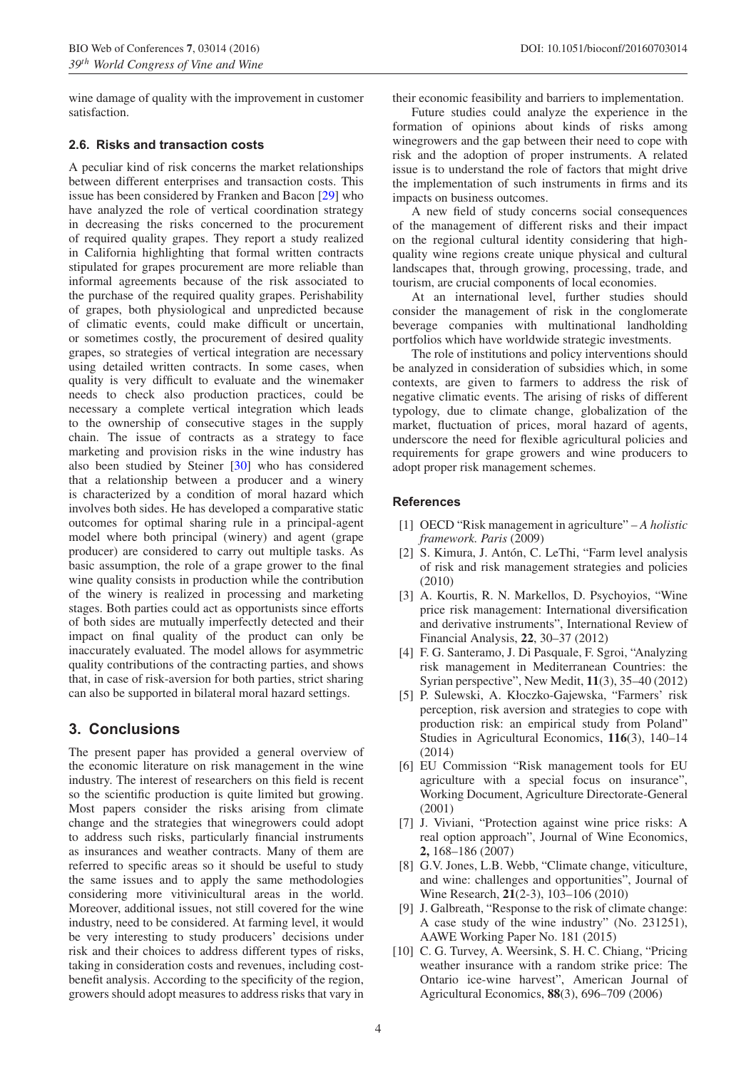wine damage of quality with the improvement in customer satisfaction.

#### **2.6. Risks and transaction costs**

A peculiar kind of risk concerns the market relationships between different enterprises and transaction costs. This issue has been considered by Franken and Bacon [\[29\]](#page-4-18) who have analyzed the role of vertical coordination strategy in decreasing the risks concerned to the procurement of required quality grapes. They report a study realized in California highlighting that formal written contracts stipulated for grapes procurement are more reliable than informal agreements because of the risk associated to the purchase of the required quality grapes. Perishability of grapes, both physiological and unpredicted because of climatic events, could make difficult or uncertain, or sometimes costly, the procurement of desired quality grapes, so strategies of vertical integration are necessary using detailed written contracts. In some cases, when quality is very difficult to evaluate and the winemaker needs to check also production practices, could be necessary a complete vertical integration which leads to the ownership of consecutive stages in the supply chain. The issue of contracts as a strategy to face marketing and provision risks in the wine industry has also been studied by Steiner [\[30](#page-4-19)] who has considered that a relationship between a producer and a winery is characterized by a condition of moral hazard which involves both sides. He has developed a comparative static outcomes for optimal sharing rule in a principal-agent model where both principal (winery) and agent (grape producer) are considered to carry out multiple tasks. As basic assumption, the role of a grape grower to the final wine quality consists in production while the contribution of the winery is realized in processing and marketing stages. Both parties could act as opportunists since efforts of both sides are mutually imperfectly detected and their impact on final quality of the product can only be inaccurately evaluated. The model allows for asymmetric quality contributions of the contracting parties, and shows that, in case of risk-aversion for both parties, strict sharing can also be supported in bilateral moral hazard settings.

## **3. Conclusions**

The present paper has provided a general overview of the economic literature on risk management in the wine industry. The interest of researchers on this field is recent so the scientific production is quite limited but growing. Most papers consider the risks arising from climate change and the strategies that winegrowers could adopt to address such risks, particularly financial instruments as insurances and weather contracts. Many of them are referred to specific areas so it should be useful to study the same issues and to apply the same methodologies considering more vitivinicultural areas in the world. Moreover, additional issues, not still covered for the wine industry, need to be considered. At farming level, it would be very interesting to study producers' decisions under risk and their choices to address different types of risks, taking in consideration costs and revenues, including costbenefit analysis. According to the specificity of the region, growers should adopt measures to address risks that vary in their economic feasibility and barriers to implementation.

Future studies could analyze the experience in the formation of opinions about kinds of risks among winegrowers and the gap between their need to cope with risk and the adoption of proper instruments. A related issue is to understand the role of factors that might drive the implementation of such instruments in firms and its impacts on business outcomes.

A new field of study concerns social consequences of the management of different risks and their impact on the regional cultural identity considering that highquality wine regions create unique physical and cultural landscapes that, through growing, processing, trade, and tourism, are crucial components of local economies.

At an international level, further studies should consider the management of risk in the conglomerate beverage companies with multinational landholding portfolios which have worldwide strategic investments.

The role of institutions and policy interventions should be analyzed in consideration of subsidies which, in some contexts, are given to farmers to address the risk of negative climatic events. The arising of risks of different typology, due to climate change, globalization of the market, fluctuation of prices, moral hazard of agents, underscore the need for flexible agricultural policies and requirements for grape growers and wine producers to adopt proper risk management schemes.

#### <span id="page-3-0"></span>**References**

- [1] OECD "Risk management in agriculture" *A holistic framework. Paris* (2009)
- <span id="page-3-1"></span>[2] S. Kimura, J. Antón, C. LeThi, "Farm level analysis of risk and risk management strategies and policies (2010)
- <span id="page-3-2"></span>[3] A. Kourtis, R. N. Markellos, D. Psychoyios, "Wine price risk management: International diversification and derivative instruments", International Review of Financial Analysis, **22**, 30–37 (2012)
- <span id="page-3-3"></span>[4] F. G. Santeramo, J. Di Pasquale, F. Sgroi, "Analyzing risk management in Mediterranean Countries: the Syrian perspective", New Medit, **11**(3), 35–40 (2012)
- <span id="page-3-4"></span>[5] P. Sulewski, A. Kłoczko-Gajewska, "Farmers' risk perception, risk aversion and strategies to cope with production risk: an empirical study from Poland" Studies in Agricultural Economics, **116**(3), 140–14 (2014)
- <span id="page-3-5"></span>[6] EU Commission "Risk management tools for EU agriculture with a special focus on insurance", Working Document, Agriculture Directorate-General (2001)
- <span id="page-3-6"></span>[7] J. Viviani, "Protection against wine price risks: A real option approach", Journal of Wine Economics, **2,** 168–186 (2007)
- <span id="page-3-7"></span>[8] G.V. Jones, L.B. Webb, "Climate change, viticulture, and wine: challenges and opportunities", Journal of Wine Research, **21**(2-3), 103–106 (2010)
- <span id="page-3-8"></span>[9] J. Galbreath, "Response to the risk of climate change: A case study of the wine industry" (No. 231251), AAWE Working Paper No. 181 (2015)
- <span id="page-3-9"></span>[10] C. G. Turvey, A. Weersink, S. H. C. Chiang, "Pricing" weather insurance with a random strike price: The Ontario ice-wine harvest", American Journal of Agricultural Economics, **88**(3), 696–709 (2006)